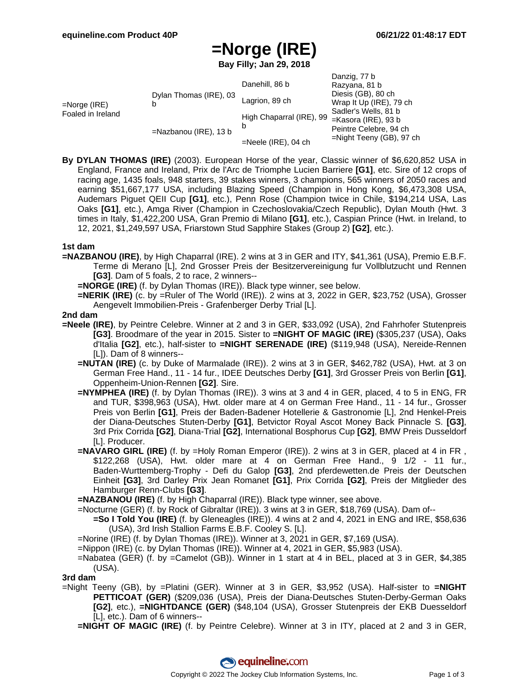Danzig, 77 b

# **=Norge (IRE)**

**Bay Filly; Jan 29, 2018**

|                                   |                             |                          | Danziy, <i>II</i> D         |
|-----------------------------------|-----------------------------|--------------------------|-----------------------------|
| =Norge (IRE)<br>Foaled in Ireland | Dylan Thomas (IRE), 03<br>b | Danehill, 86 b           | Razyana, 81 b               |
|                                   |                             | Lagrion, 89 ch           | Diesis (GB), 80 ch          |
|                                   |                             |                          | Wrap It Up (IRE), 79 ch     |
|                                   |                             | High Chaparral (IRE), 99 | Sadler's Wells, 81 b        |
|                                   | =Nazbanou (IRE), 13 b       |                          | =Kasora (IRE), 93 b         |
|                                   |                             |                          | Peintre Celebre, 94 ch      |
|                                   |                             | $=$ Neele (IRE), 04 ch   | $=$ Night Teeny (GB), 97 ch |

**By DYLAN THOMAS (IRE)** (2003). European Horse of the year, Classic winner of \$6,620,852 USA in England, France and Ireland, Prix de l'Arc de Triomphe Lucien Barriere **[G1]**, etc. Sire of 12 crops of racing age, 1435 foals, 948 starters, 39 stakes winners, 3 champions, 565 winners of 2050 races and earning \$51,667,177 USA, including Blazing Speed (Champion in Hong Kong, \$6,473,308 USA, Audemars Piguet QEII Cup **[G1]**, etc.), Penn Rose (Champion twice in Chile, \$194,214 USA, Las Oaks **[G1]**, etc.), Amga River (Champion in Czechoslovakia/Czech Republic), Dylan Mouth (Hwt. 3 times in Italy, \$1,422,200 USA, Gran Premio di Milano **[G1]**, etc.), Caspian Prince (Hwt. in Ireland, to 12, 2021, \$1,249,597 USA, Friarstown Stud Sapphire Stakes (Group 2) **[G2]**, etc.).

### **1st dam**

- **=NAZBANOU (IRE)**, by High Chaparral (IRE). 2 wins at 3 in GER and ITY, \$41,361 (USA), Premio E.B.F. Terme di Merano [L], 2nd Grosser Preis der Besitzervereinigung fur Vollblutzucht und Rennen **[G3]**. Dam of 5 foals, 2 to race, 2 winners--
	- **=NORGE (IRE)** (f. by Dylan Thomas (IRE)). Black type winner, see below.
	- **=NERIK (IRE)** (c. by =Ruler of The World (IRE)). 2 wins at 3, 2022 in GER, \$23,752 (USA), Grosser Aengevelt Immobilien-Preis - Grafenberger Derby Trial [L].

### **2nd dam**

- **=Neele (IRE)**, by Peintre Celebre. Winner at 2 and 3 in GER, \$33,092 (USA), 2nd Fahrhofer Stutenpreis **[G3]**. Broodmare of the year in 2015. Sister to **=NIGHT OF MAGIC (IRE)** (\$305,237 (USA), Oaks d'Italia **[G2]**, etc.), half-sister to **=NIGHT SERENADE (IRE)** (\$119,948 (USA), Nereide-Rennen [L]). Dam of 8 winners--
	- **=NUTAN (IRE)** (c. by Duke of Marmalade (IRE)). 2 wins at 3 in GER, \$462,782 (USA), Hwt. at 3 on German Free Hand., 11 - 14 fur., IDEE Deutsches Derby **[G1]**, 3rd Grosser Preis von Berlin **[G1]**, Oppenheim-Union-Rennen **[G2]**. Sire.
	- **=NYMPHEA (IRE)** (f. by Dylan Thomas (IRE)). 3 wins at 3 and 4 in GER, placed, 4 to 5 in ENG, FR and TUR, \$398,963 (USA), Hwt. older mare at 4 on German Free Hand., 11 - 14 fur., Grosser Preis von Berlin **[G1]**, Preis der Baden-Badener Hotellerie & Gastronomie [L], 2nd Henkel-Preis der Diana-Deutsches Stuten-Derby **[G1]**, Betvictor Royal Ascot Money Back Pinnacle S. **[G3]**, 3rd Prix Corrida **[G2]**, Diana-Trial **[G2]**, International Bosphorus Cup **[G2]**, BMW Preis Dusseldorf [L]. Producer.
	- **=NAVARO GIRL (IRE)** (f. by =Holy Roman Emperor (IRE)). 2 wins at 3 in GER, placed at 4 in FR , \$122,268 (USA), Hwt. older mare at 4 on German Free Hand., 9 1/2 - 11 fur., Baden-Wurttemberg-Trophy - Defi du Galop **[G3]**, 2nd pferdewetten.de Preis der Deutschen Einheit **[G3]**, 3rd Darley Prix Jean Romanet **[G1]**, Prix Corrida **[G2]**, Preis der Mitglieder des Hamburger Renn-Clubs **[G3]**.

**=NAZBANOU (IRE)** (f. by High Chaparral (IRE)). Black type winner, see above.

- =Nocturne (GER) (f. by Rock of Gibraltar (IRE)). 3 wins at 3 in GER, \$18,769 (USA). Dam of-- **=So I Told You (IRE)** (f. by Gleneagles (IRE)). 4 wins at 2 and 4, 2021 in ENG and IRE, \$58,636
	- (USA), 3rd Irish Stallion Farms E.B.F. Cooley S. [L].
- =Norine (IRE) (f. by Dylan Thomas (IRE)). Winner at 3, 2021 in GER, \$7,169 (USA).
- =Nippon (IRE) (c. by Dylan Thomas (IRE)). Winner at 4, 2021 in GER, \$5,983 (USA).
- =Nabatea (GER) (f. by =Camelot (GB)). Winner in 1 start at 4 in BEL, placed at 3 in GER, \$4,385 (USA).

#### **3rd dam**

=Night Teeny (GB), by =Platini (GER). Winner at 3 in GER, \$3,952 (USA). Half-sister to **=NIGHT PETTICOAT (GER)** (\$209,036 (USA), Preis der Diana-Deutsches Stuten-Derby-German Oaks **[G2]**, etc.), **=NIGHTDANCE (GER)** (\$48,104 (USA), Grosser Stutenpreis der EKB Duesseldorf [L], etc.). Dam of 6 winners--

**=NIGHT OF MAGIC (IRE)** (f. by Peintre Celebre). Winner at 3 in ITY, placed at 2 and 3 in GER,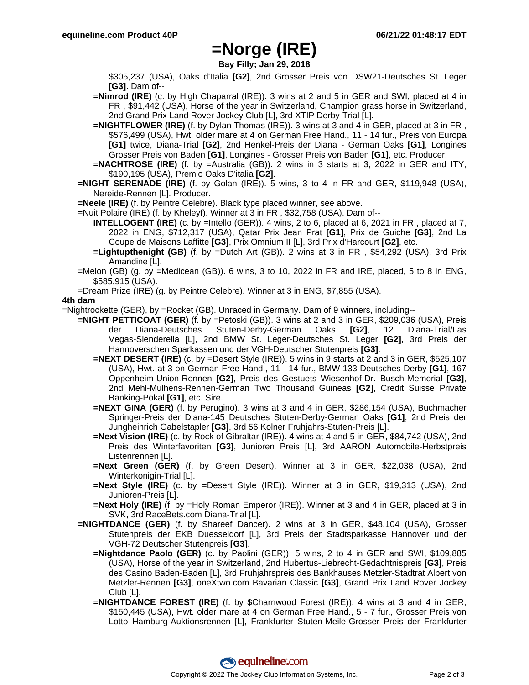# **=Norge (IRE)**

**Bay Filly; Jan 29, 2018**

\$305,237 (USA), Oaks d'Italia **[G2]**, 2nd Grosser Preis von DSW21-Deutsches St. Leger **[G3]**. Dam of--

- **=Nimrod (IRE)** (c. by High Chaparral (IRE)). 3 wins at 2 and 5 in GER and SWI, placed at 4 in FR , \$91,442 (USA), Horse of the year in Switzerland, Champion grass horse in Switzerland, 2nd Grand Prix Land Rover Jockey Club [L], 3rd XTIP Derby-Trial [L].
- **=NIGHTFLOWER (IRE)** (f. by Dylan Thomas (IRE)). 3 wins at 3 and 4 in GER, placed at 3 in FR , \$576,499 (USA), Hwt. older mare at 4 on German Free Hand., 11 - 14 fur., Preis von Europa **[G1]** twice, Diana-Trial **[G2]**, 2nd Henkel-Preis der Diana - German Oaks **[G1]**, Longines Grosser Preis von Baden **[G1]**, Longines - Grosser Preis von Baden **[G1]**, etc. Producer.

**=NACHTROSE (IRE)** (f. by =Australia (GB)). 2 wins in 3 starts at 3, 2022 in GER and ITY, \$190,195 (USA), Premio Oaks D'italia **[G2]**.

**=NIGHT SERENADE (IRE)** (f. by Golan (IRE)). 5 wins, 3 to 4 in FR and GER, \$119,948 (USA), Nereide-Rennen [L]. Producer.

**=Neele (IRE)** (f. by Peintre Celebre). Black type placed winner, see above.

=Nuit Polaire (IRE) (f. by Kheleyf). Winner at 3 in FR , \$32,758 (USA). Dam of--

- **INTELLOGENT (IRE)** (c. by =Intello (GER)). 4 wins, 2 to 6, placed at 6, 2021 in FR , placed at 7, 2022 in ENG, \$712,317 (USA), Qatar Prix Jean Prat **[G1]**, Prix de Guiche **[G3]**, 2nd La Coupe de Maisons Laffitte **[G3]**, Prix Omnium II [L], 3rd Prix d'Harcourt **[G2]**, etc.
- **=Lightupthenight (GB)** (f. by =Dutch Art (GB)). 2 wins at 3 in FR , \$54,292 (USA), 3rd Prix Amandine [L].
- =Melon (GB) (g. by =Medicean (GB)). 6 wins, 3 to 10, 2022 in FR and IRE, placed, 5 to 8 in ENG, \$585,915 (USA).
- =Dream Prize (IRE) (g. by Peintre Celebre). Winner at 3 in ENG, \$7,855 (USA).

## **4th dam**

=Nightrockette (GER), by =Rocket (GB). Unraced in Germany. Dam of 9 winners, including--

- **=NIGHT PETTICOAT (GER)** (f. by =Petoski (GB)). 3 wins at 2 and 3 in GER, \$209,036 (USA), Preis der Diana-Deutsches Stuten-Derby-German Oaks **[G2]**, 12 Diana-Trial/Las Vegas-Slenderella [L], 2nd BMW St. Leger-Deutsches St. Leger **[G2]**, 3rd Preis der Hannoverschen Sparkassen und der VGH-Deutscher Stutenpreis **[G3]**.
	- **=NEXT DESERT (IRE)** (c. by =Desert Style (IRE)). 5 wins in 9 starts at 2 and 3 in GER, \$525,107 (USA), Hwt. at 3 on German Free Hand., 11 - 14 fur., BMW 133 Deutsches Derby **[G1]**, 167 Oppenheim-Union-Rennen **[G2]**, Preis des Gestuets Wiesenhof-Dr. Busch-Memorial **[G3]**, 2nd Mehl-Mulhens-Rennen-German Two Thousand Guineas **[G2]**, Credit Suisse Private Banking-Pokal **[G1]**, etc. Sire.
	- **=NEXT GINA (GER)** (f. by Perugino). 3 wins at 3 and 4 in GER, \$286,154 (USA), Buchmacher Springer-Preis der Diana-145 Deutsches Stuten-Derby-German Oaks **[G1]**, 2nd Preis der Jungheinrich Gabelstapler **[G3]**, 3rd 56 Kolner Fruhjahrs-Stuten-Preis [L].
	- **=Next Vision (IRE)** (c. by Rock of Gibraltar (IRE)). 4 wins at 4 and 5 in GER, \$84,742 (USA), 2nd Preis des Winterfavoriten **[G3]**, Junioren Preis [L], 3rd AARON Automobile-Herbstpreis Listenrennen [L].
	- **=Next Green (GER)** (f. by Green Desert). Winner at 3 in GER, \$22,038 (USA), 2nd Winterkonigin-Trial [L].
	- **=Next Style (IRE)** (c. by =Desert Style (IRE)). Winner at 3 in GER, \$19,313 (USA), 2nd Junioren-Preis [L].
	- **=Next Holy (IRE)** (f. by =Holy Roman Emperor (IRE)). Winner at 3 and 4 in GER, placed at 3 in SVK, 3rd RaceBets.com Diana-Trial [L].
- **=NIGHTDANCE (GER)** (f. by Shareef Dancer). 2 wins at 3 in GER, \$48,104 (USA), Grosser Stutenpreis der EKB Duesseldorf [L], 3rd Preis der Stadtsparkasse Hannover und der VGH-72 Deutscher Stutenpreis **[G3]**.
	- **=Nightdance Paolo (GER)** (c. by Paolini (GER)). 5 wins, 2 to 4 in GER and SWI, \$109,885 (USA), Horse of the year in Switzerland, 2nd Hubertus-Liebrecht-Gedachtnispreis **[G3]**, Preis des Casino Baden-Baden [L], 3rd Fruhjahrspreis des Bankhauses Metzler-Stadtrat Albert von Metzler-Rennen **[G3]**, oneXtwo.com Bavarian Classic **[G3]**, Grand Prix Land Rover Jockey Club [L].
	- **=NIGHTDANCE FOREST (IRE)** (f. by \$Charnwood Forest (IRE)). 4 wins at 3 and 4 in GER, \$150,445 (USA), Hwt. older mare at 4 on German Free Hand., 5 - 7 fur., Grosser Preis von Lotto Hamburg-Auktionsrennen [L], Frankfurter Stuten-Meile-Grosser Preis der Frankfurter